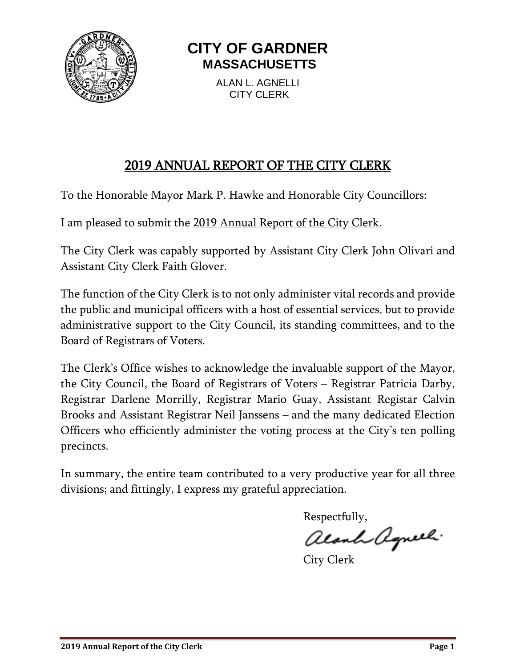

# **CITY OF GARDNER MASSACHUSETTS**

ALAN L. AGNELLI CITY CLERK

## 2019 ANNUAL REPORT OF THE CITY CLERK

To the Honorable Mayor Mark P. Hawke and Honorable City Councillors:

I am pleased to submit the 2019 Annual Report of the City Clerk.

The City Clerk was capably supported by Assistant City Clerk John Olivari and Assistant City Clerk Faith Glover.

The function of the City Clerk is to not only administer vital records and provide the public and municipal officers with a host of essential services, but to provide administrative support to the City Council, its standing committees, and to the Board of Registrars of Voters.

The Clerk's Office wishes to acknowledge the invaluable support of the Mayor, the City Council, the Board of Registrars of Voters – Registrar Patricia Darby, Registrar Darlene Morrilly, Registrar Mario Guay, Assistant Registar Calvin Brooks and Assistant Registrar Neil Janssens – and the many dedicated Election Officers who efficiently administer the voting process at the City's ten polling precincts.

In summary, the entire team contributed to a very productive year for all three divisions; and fittingly, I express my grateful appreciation.

Respectfully,

alanh aguel.

City Clerk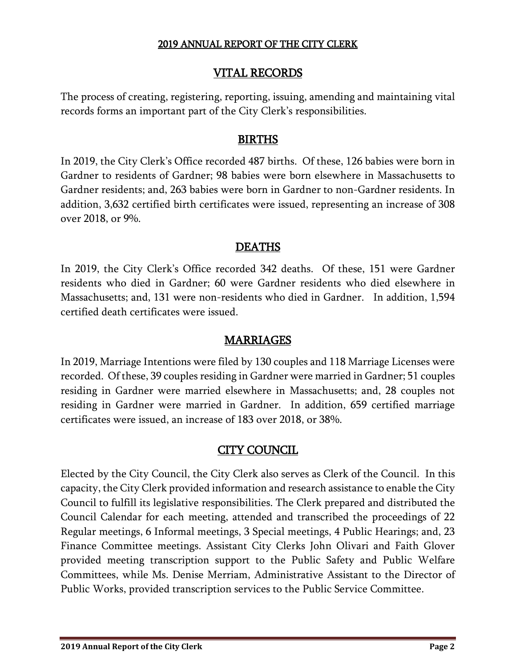### VITAL RECORDS

The process of creating, registering, reporting, issuing, amending and maintaining vital records forms an important part of the City Clerk's responsibilities.

#### BIRTHS

In 2019, the City Clerk's Office recorded 487 births. Of these, 126 babies were born in Gardner to residents of Gardner; 98 babies were born elsewhere in Massachusetts to Gardner residents; and, 263 babies were born in Gardner to non-Gardner residents. In addition, 3,632 certified birth certificates were issued, representing an increase of 308 over 2018, or 9%.

## DEATHS

In 2019, the City Clerk's Office recorded 342 deaths. Of these, 151 were Gardner residents who died in Gardner; 60 were Gardner residents who died elsewhere in Massachusetts; and, 131 were non-residents who died in Gardner. In addition, 1,594 certified death certificates were issued.

### MARRIAGES

In 2019, Marriage Intentions were filed by 130 couples and 118 Marriage Licenses were recorded. Of these, 39 couples residing in Gardner were married in Gardner; 51 couples residing in Gardner were married elsewhere in Massachusetts; and, 28 couples not residing in Gardner were married in Gardner. In addition, 659 certified marriage certificates were issued, an increase of 183 over 2018, or 38%.

## CITY COUNCIL

Elected by the City Council, the City Clerk also serves as Clerk of the Council. In this capacity, the City Clerk provided information and research assistance to enable the City Council to fulfill its legislative responsibilities. The Clerk prepared and distributed the Council Calendar for each meeting, attended and transcribed the proceedings of 22 Regular meetings, 6 Informal meetings, 3 Special meetings, 4 Public Hearings; and, 23 Finance Committee meetings. Assistant City Clerks John Olivari and Faith Glover provided meeting transcription support to the Public Safety and Public Welfare Committees, while Ms. Denise Merriam, Administrative Assistant to the Director of Public Works, provided transcription services to the Public Service Committee.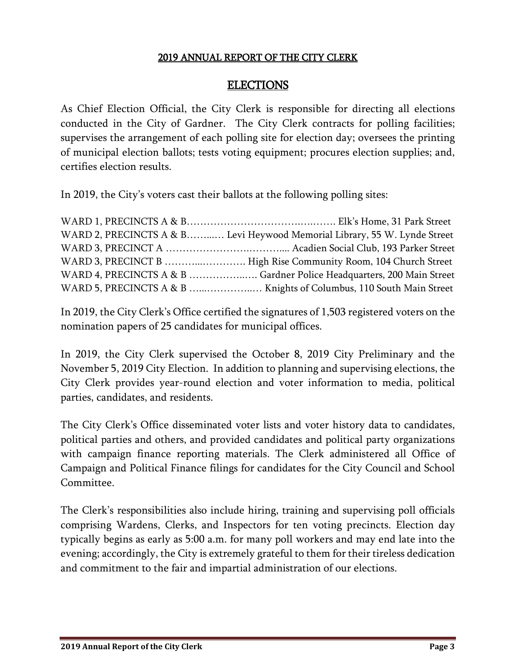#### ELECTIONS

As Chief Election Official, the City Clerk is responsible for directing all elections conducted in the City of Gardner. The City Clerk contracts for polling facilities; supervises the arrangement of each polling site for election day; oversees the printing of municipal election ballots; tests voting equipment; procures election supplies; and, certifies election results.

In 2019, the City's voters cast their ballots at the following polling sites:

| WARD 2, PRECINCTS A & B Levi Heywood Memorial Library, 55 W. Lynde Street |
|---------------------------------------------------------------------------|
|                                                                           |
| WARD 3, PRECINCT B  High Rise Community Room, 104 Church Street           |
| WARD 4, PRECINCTS A & B  Gardner Police Headquarters, 200 Main Street     |
|                                                                           |

In 2019, the City Clerk's Office certified the signatures of 1,503 registered voters on the nomination papers of 25 candidates for municipal offices.

In 2019, the City Clerk supervised the October 8, 2019 City Preliminary and the November 5, 2019 City Election. In addition to planning and supervising elections, the City Clerk provides year-round election and voter information to media, political parties, candidates, and residents.

The City Clerk's Office disseminated voter lists and voter history data to candidates, political parties and others, and provided candidates and political party organizations with campaign finance reporting materials. The Clerk administered all Office of Campaign and Political Finance filings for candidates for the City Council and School Committee.

The Clerk's responsibilities also include hiring, training and supervising poll officials comprising Wardens, Clerks, and Inspectors for ten voting precincts. Election day typically begins as early as 5:00 a.m. for many poll workers and may end late into the evening; accordingly, the City is extremely grateful to them for their tireless dedication and commitment to the fair and impartial administration of our elections.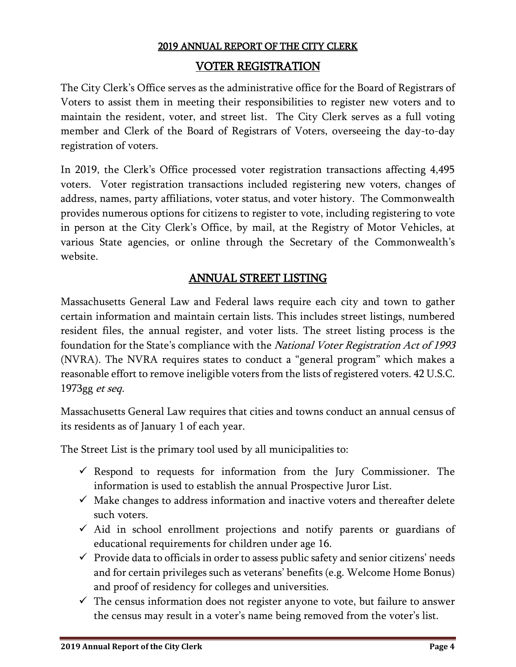#### VOTER REGISTRATION

The City Clerk's Office serves as the administrative office for the Board of Registrars of Voters to assist them in meeting their responsibilities to register new voters and to maintain the resident, voter, and street list. The City Clerk serves as a full voting member and Clerk of the Board of Registrars of Voters, overseeing the day-to-day registration of voters.

In 2019, the Clerk's Office processed voter registration transactions affecting 4,495 voters. Voter registration transactions included registering new voters, changes of address, names, party affiliations, voter status, and voter history. The Commonwealth provides numerous options for citizens to register to vote, including registering to vote in person at the City Clerk's Office, by mail, at the Registry of Motor Vehicles, at various State agencies, or online through the Secretary of the Commonwealth's website.

#### ANNUAL STREET LISTING

Massachusetts General Law and Federal laws require each city and town to gather certain information and maintain certain lists. This includes street listings, numbered resident files, the annual register, and voter lists. The street listing process is the foundation for the State's compliance with the National Voter Registration Act of 1993 (NVRA). The NVRA requires states to conduct a "general program" which makes a reasonable effort to remove ineligible voters from the lists of registered voters. 42 U.S.C. 1973gg et seq.

Massachusetts General Law requires that cities and towns conduct an annual census of its residents as of January 1 of each year.

The Street List is the primary tool used by all municipalities to:

- $\checkmark$  Respond to requests for information from the Jury Commissioner. The information is used to establish the annual Prospective Juror List.
- $\checkmark$  Make changes to address information and inactive voters and thereafter delete such voters.
- $\checkmark$  Aid in school enrollment projections and notify parents or guardians of educational requirements for children under age 16.
- $\checkmark$  Provide data to officials in order to assess public safety and senior citizens' needs and for certain privileges such as veterans' benefits (e.g. Welcome Home Bonus) and proof of residency for colleges and universities.
- $\checkmark$  The census information does not register anyone to vote, but failure to answer the census may result in a voter's name being removed from the voter's list.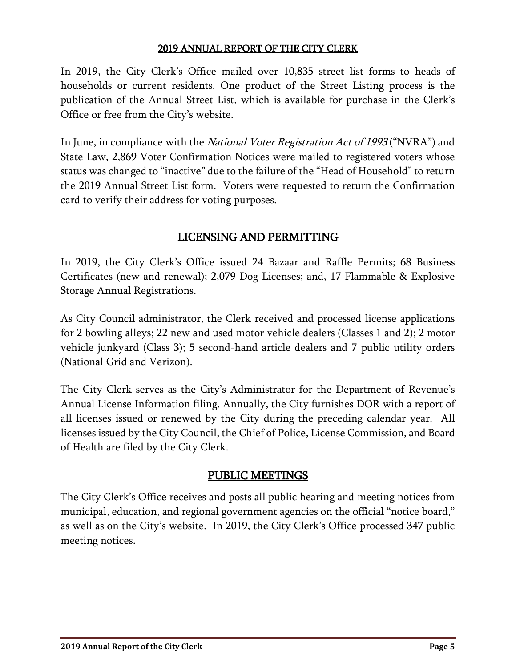In 2019, the City Clerk's Office mailed over 10,835 street list forms to heads of households or current residents. One product of the Street Listing process is the publication of the Annual Street List, which is available for purchase in the Clerk's Office or free from the City's website.

In June, in compliance with the *National Voter Registration Act of 1993* ("NVRA") and State Law, 2,869 Voter Confirmation Notices were mailed to registered voters whose status was changed to "inactive" due to the failure of the "Head of Household" to return the 2019 Annual Street List form. Voters were requested to return the Confirmation card to verify their address for voting purposes.

## LICENSING AND PERMITTING

In 2019, the City Clerk's Office issued 24 Bazaar and Raffle Permits; 68 Business Certificates (new and renewal); 2,079 Dog Licenses; and, 17 Flammable & Explosive Storage Annual Registrations.

As City Council administrator, the Clerk received and processed license applications for 2 bowling alleys; 22 new and used motor vehicle dealers (Classes 1 and 2); 2 motor vehicle junkyard (Class 3); 5 second-hand article dealers and 7 public utility orders (National Grid and Verizon).

The City Clerk serves as the City's Administrator for the Department of Revenue's Annual License Information filing. Annually, the City furnishes DOR with a report of all licenses issued or renewed by the City during the preceding calendar year. All licenses issued by the City Council, the Chief of Police, License Commission, and Board of Health are filed by the City Clerk.

## PUBLIC MEETINGS

The City Clerk's Office receives and posts all public hearing and meeting notices from municipal, education, and regional government agencies on the official "notice board," as well as on the City's website. In 2019, the City Clerk's Office processed 347 public meeting notices.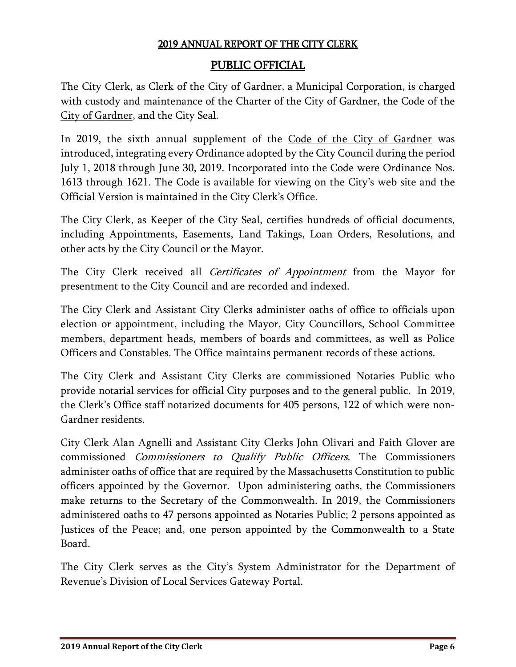## PUBLIC OFFICIAL

The City Clerk, as Clerk of the City of Gardner, a Municipal Corporation, is charged with custody and maintenance of the Charter of the City of Gardner, the Code of the City of Gardner, and the City Seal.

In 2019, the sixth annual supplement of the Code of the City of Gardner was introduced, integrating every Ordinance adopted by the City Council during the period July 1, 2018 through June 30, 2019. Incorporated into the Code were Ordinance Nos. 1613 through 1621. The Code is available for viewing on the City's web site and the Official Version is maintained in the City Clerk's Office.

The City Clerk, as Keeper of the City Seal, certifies hundreds of official documents, including Appointments, Easements, Land Takings, Loan Orders, Resolutions, and other acts by the City Council or the Mayor.

The City Clerk received all Certificates of Appointment from the Mayor for presentment to the City Council and are recorded and indexed.

The City Clerk and Assistant City Clerks administer oaths of office to officials upon election or appointment, including the Mayor, City Councillors, School Committee members, department heads, members of boards and committees, as well as Police Officers and Constables. The Office maintains permanent records of these actions.

The City Clerk and Assistant City Clerks are commissioned Notaries Public who provide notarial services for official City purposes and to the general public. In 2019, the Clerk's Office staff notarized documents for 405 persons, 122 of which were non-Gardner residents.

City Clerk Alan Agnelli and Assistant City Clerks John Olivari and Faith Glover are commissioned Commissioners to Qualify Public Officers. The Commissioners administer oaths of office that are required by the Massachusetts Constitution to public officers appointed by the Governor. Upon administering oaths, the Commissioners make returns to the Secretary of the Commonwealth. In 2019, the Commissioners administered oaths to 47 persons appointed as Notaries Public; 2 persons appointed as Justices of the Peace; and, one person appointed by the Commonwealth to a State Board.

The City Clerk serves as the City's System Administrator for the Department of Revenue's Division of Local Services Gateway Portal.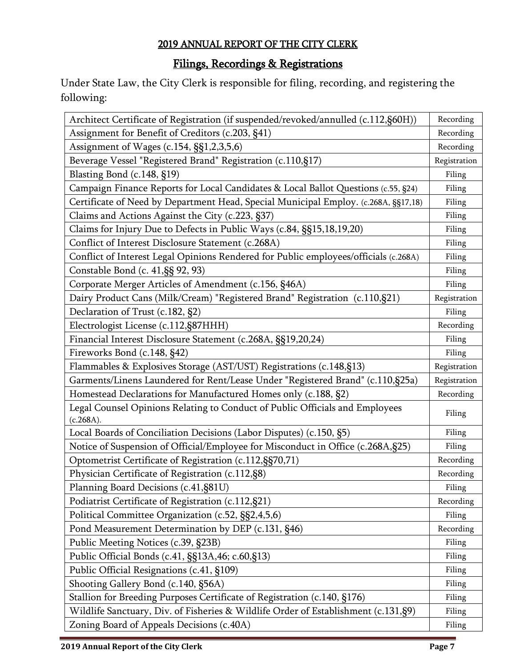## Filings, Recordings & Registrations

Under State Law, the City Clerk is responsible for filing, recording, and registering the following:

| Architect Certificate of Registration (if suspended/revoked/annulled (c.112,§60H))        | Recording |
|-------------------------------------------------------------------------------------------|-----------|
| Assignment for Benefit of Creditors (c.203, §41)                                          | Recording |
| Assignment of Wages (c.154, §§1,2,3,5,6)                                                  |           |
| Beverage Vessel "Registered Brand" Registration (c.110,§17)                               |           |
| Blasting Bond (c.148, §19)                                                                |           |
| Campaign Finance Reports for Local Candidates & Local Ballot Questions (c.55, §24)        |           |
| Certificate of Need by Department Head, Special Municipal Employ. (c.268A, §§17,18)       |           |
| Claims and Actions Against the City (c.223, §37)                                          |           |
| Claims for Injury Due to Defects in Public Ways (c.84, §§15,18,19,20)                     |           |
| Conflict of Interest Disclosure Statement (c.268A)                                        |           |
| Conflict of Interest Legal Opinions Rendered for Public employees/officials (c.268A)      |           |
| Constable Bond (c. 41, §§ 92, 93)                                                         |           |
| Corporate Merger Articles of Amendment (c.156, §46A)                                      | Filing    |
| Dairy Product Cans (Milk/Cream) "Registered Brand" Registration (c.110,§21)               |           |
| Declaration of Trust (c.182, §2)                                                          |           |
| Electrologist License (c.112, §87HHH)                                                     |           |
| Financial Interest Disclosure Statement (c.268A, §§19,20,24)                              |           |
| Fireworks Bond (c.148, §42)                                                               |           |
| Flammables & Explosives Storage (AST/UST) Registrations (c.148,§13)                       |           |
| Garments/Linens Laundered for Rent/Lease Under "Registered Brand" (c.110,§25a)            |           |
| Homestead Declarations for Manufactured Homes only (c.188, §2)                            |           |
| Legal Counsel Opinions Relating to Conduct of Public Officials and Employees<br>(c.268A). |           |
| Local Boards of Conciliation Decisions (Labor Disputes) (c.150, §5)                       | Filing    |
| Notice of Suspension of Official/Employee for Misconduct in Office (c.268A, §25)          |           |
| Optometrist Certificate of Registration (c.112, §§70, 71)                                 |           |
| Physician Certificate of Registration (c.112, §8)                                         |           |
| Planning Board Decisions (c.41,§81U)                                                      |           |
| Podiatrist Certificate of Registration (c.112, §21)                                       |           |
| Political Committee Organization (c.52, §§2,4,5,6)                                        |           |
| Pond Measurement Determination by DEP (c.131, §46)                                        |           |
| Public Meeting Notices (c.39, §23B)                                                       |           |
| Public Official Bonds (c.41, §§13A,46; c.60,§13)                                          |           |
| Public Official Resignations (c.41, §109)                                                 |           |
| Shooting Gallery Bond (c.140, §56A)                                                       |           |
| Stallion for Breeding Purposes Certificate of Registration (c.140, §176)                  |           |
| Wildlife Sanctuary, Div. of Fisheries & Wildlife Order of Establishment (c.131, §9)       |           |
| Zoning Board of Appeals Decisions (c.40A)                                                 |           |